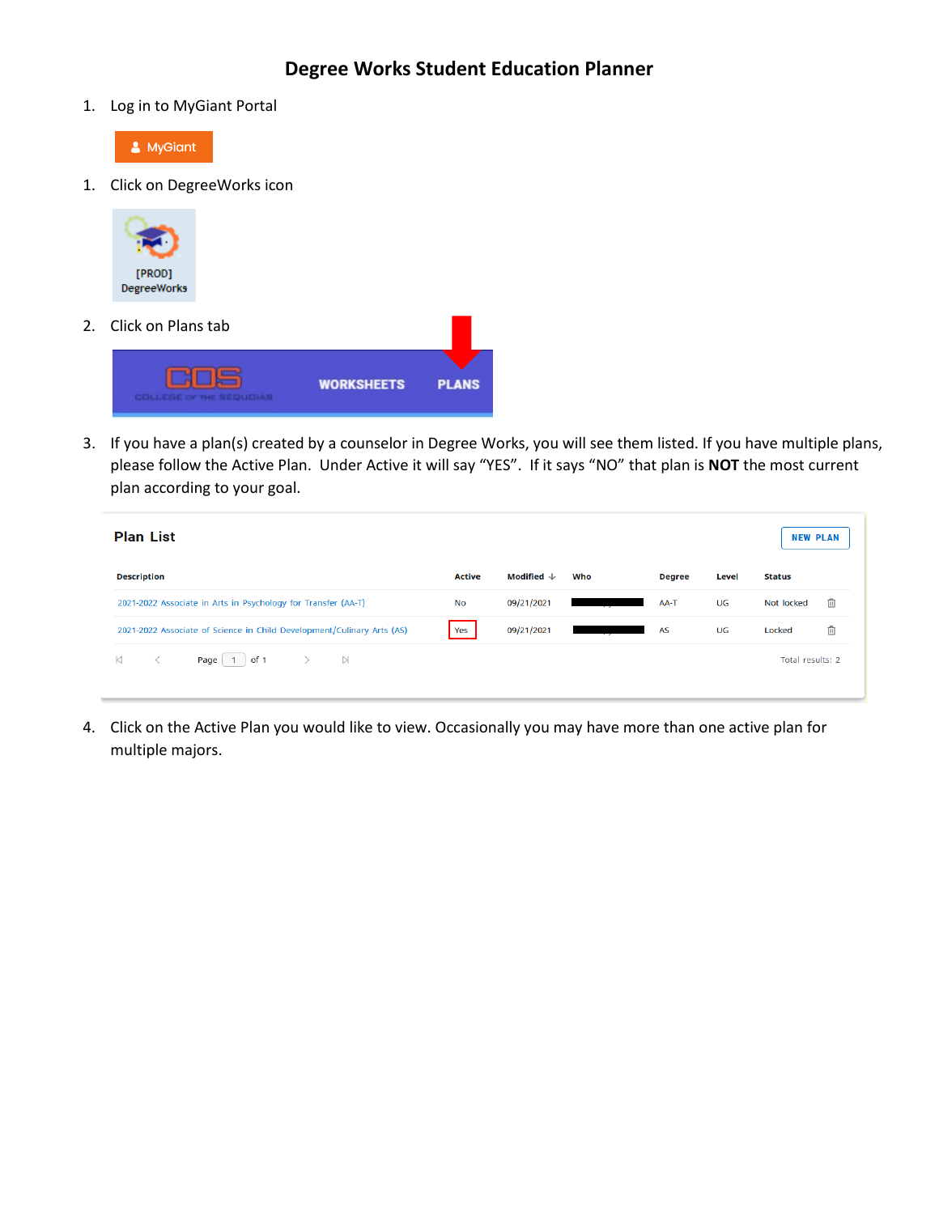1. Log in to MyGiant Portal



1. Click on DegreeWorks icon



2. Click on Plans tab



3. If you have a plan(s) created by a counselor in Degree Works, you will see them listed. If you have multiple plans, please follow the Active Plan. Under Active it will say "YES". If it says "NO" that plan is **NOT** the most current plan according to your goal.

| <b>Plan List</b>                                                       |           |                                |     |               |       | <b>NEW PLAN</b>  |   |
|------------------------------------------------------------------------|-----------|--------------------------------|-----|---------------|-------|------------------|---|
| <b>Description</b>                                                     | Active    | Modified $\mathcal \downarrow$ | Who | <b>Degree</b> | Level | <b>Status</b>    |   |
| 2021-2022 Associate in Arts in Psychology for Transfer (AA-T)          | <b>No</b> | 09/21/2021                     |     | AA-T          | UG    | Not locked       | ⋔ |
| 2021-2022 Associate of Science in Child Development/Culinary Arts (AS) | Yes       | 09/21/2021                     |     | <b>AS</b>     | UG    | Locked           | ⋔ |
| of 1<br>$\triangleright$<br>Page 1                                     |           |                                |     |               |       | Total results: 2 |   |

4. Click on the Active Plan you would like to view. Occasionally you may have more than one active plan for multiple majors.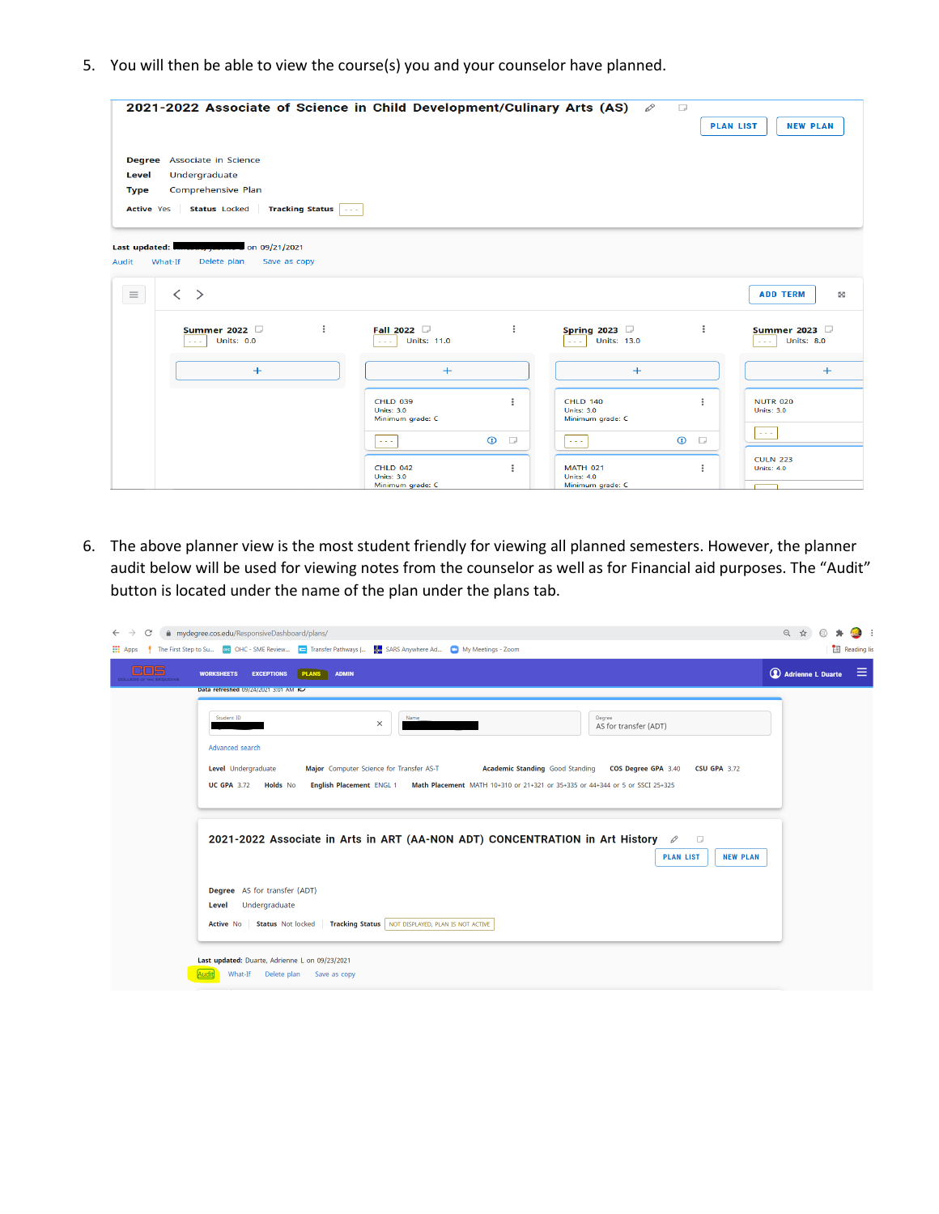5. You will then be able to view the course(s) you and your counselor have planned.

|                                           | 2021-2022 Associate of Science in Child Development/Culinary Arts (AS)                                               |                                                                                   | $\Box$<br>O                                              | <b>PLAN LIST</b><br><b>NEW PLAN</b>                                               |
|-------------------------------------------|----------------------------------------------------------------------------------------------------------------------|-----------------------------------------------------------------------------------|----------------------------------------------------------|-----------------------------------------------------------------------------------|
| Level<br><b>Type</b><br><b>Active Yes</b> | <b>Degree</b> Associate in Science<br>Undergraduate<br>Comprehensive Plan<br><b>Status</b> Locked<br>Tracking Status |                                                                                   |                                                          |                                                                                   |
| Last updated:<br>What-If<br>Audit         | on 09/21/2021<br>Delete plan<br>Save as copy                                                                         |                                                                                   |                                                          |                                                                                   |
| $\equiv$                                  | $\overline{\left\langle \right\rangle }$<br>$\geq$                                                                   |                                                                                   |                                                          | <b>ADD TERM</b><br>S                                                              |
|                                           | $\ddot{\ddot{\cdot}}$<br>Summer 2022<br><b>Units: 0.0</b><br>$\sim$ $\sim$ $\sim$                                    | $\ddot{\ddot{\cdot}}$<br>Fall 2022<br><b>Units: 11.0</b><br>$\sim$ $\sim$ $\sim$  | Spring 2023 $\Box$<br><b>Units: 13.0</b>                 | $\ddot{\ddot{\cdot}}$<br>Summer 2023<br><b>Units: 8.0</b><br>$\sim$ $\sim$ $\sim$ |
|                                           | $+$                                                                                                                  | $+$                                                                               | $+$                                                      | $+$                                                                               |
|                                           |                                                                                                                      | $\ddot{z}$<br><b>CHLD 039</b><br><b>Units: 3.0</b><br>Minimum grade: C            | <b>CHLD 140</b><br><b>Units: 3.0</b><br>Minimum grade: C | ÷<br><b>NUTR 020</b><br><b>Units: 3.0</b>                                         |
|                                           |                                                                                                                      | $\odot$<br>$\Box$<br>المحمر                                                       | $\odot$<br>$\sim$ $\sim$ $\sim$                          | $\sim$ $\sim$ $\sim$<br>$\Box$                                                    |
|                                           |                                                                                                                      | $\ddot{\ddot{\cdot}}$<br><b>CHLD 042</b><br><b>Units: 3.0</b><br>Minimum grade: C | <b>MATH 021</b><br><b>Units: 4.0</b><br>Minimum grade: C | <b>CULN 223</b><br>$\ddot{z}$<br><b>Units: 4.0</b>                                |

6. The above planner view is the most student friendly for viewing all planned semesters. However, the planner audit below will be used for viewing notes from the counselor as well as for Financial aid purposes. The "Audit" button is located under the name of the plan under the plans tab.

| <b>PLANS</b><br><b>ADMIN</b><br><b>EXCEPTIONS</b><br><b>WORKSHEETS</b>                                                                         | $\circledcirc$ Adrienne L Duarte $\equiv$ |
|------------------------------------------------------------------------------------------------------------------------------------------------|-------------------------------------------|
| Data refreshed 09/24/2021 3:01 AM R                                                                                                            |                                           |
| Student ID<br>Name<br>Degree<br>$\times$<br>AS for transfer (ADT)                                                                              |                                           |
| Advanced search                                                                                                                                |                                           |
| Major Computer Science for Transfer AS-T<br>Academic Standing Good Standing  COS Degree GPA 3.40<br>Level Undergraduate<br><b>CSU GPA 3.72</b> |                                           |
| English Placement ENGL 1 Math Placement MATH 10+310 or 21+321 or 35+335 or 44+344 or 5 or SSCI 25+325<br><b>UC GPA 3.72</b><br><b>Holds</b> No |                                           |
|                                                                                                                                                |                                           |
| 2021-2022 Associate in Arts in ART (AA-NON ADT) CONCENTRATION in Art History $\oslash$                                                         |                                           |
| <b>PLAN LIST</b><br><b>NEW PLAN</b>                                                                                                            |                                           |
|                                                                                                                                                |                                           |
|                                                                                                                                                |                                           |
| Degree AS for transfer (ADT)<br>Undergraduate<br>Level                                                                                         |                                           |
| <b>Status</b> Not locked<br>Tracking Status   NOT DISPLAYED, PLAN IS NOT ACTIVE<br><b>Active No</b>                                            |                                           |